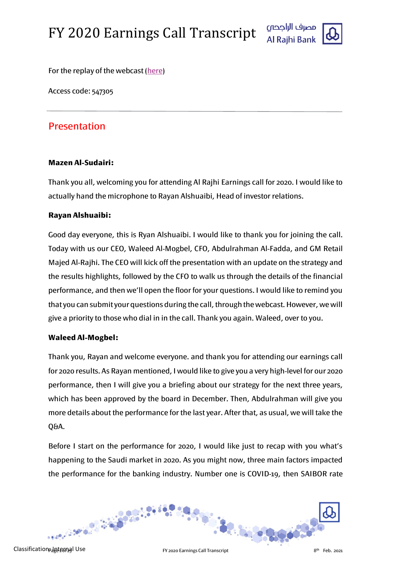



For the replay of the webcast [\(here\)](https://www.incommglobalevents.com/replay/5315/al-rajhi-bank-full-year-earnings-call/)

Access code: 547305

## Presentation

## **Mazen Al-Sudairi:**

Thank you all, welcoming you for attending Al Rajhi Earnings call for 2020. I would like to actually hand the microphone to Rayan Alshuaibi, Head of investor relations.

## **Rayan Alshuaibi:**

Good day everyone, this is Ryan Alshuaibi. I would like to thank you for joining the call. Today with us our CEO, Waleed Al-Mogbel, CFO, Abdulrahman Al-Fadda, and GM Retail Majed Al-Rajhi. The CEO will kick off the presentation with an update on the strategy and the results highlights, followed by the CFO to walk us through the details of the financial performance, and then we'll open the floor for your questions. I would like to remind you that you can submit your questions during the call, through the webcast. However, we will give a priority to those who dial in in the call. Thank you again. Waleed, over to you.

## **Waleed Al-Mogbel:**

Thank you, Rayan and welcome everyone. and thank you for attending our earnings call for 2020 results. As Rayan mentioned, I would like to give you a very high-level for our 2020 performance, then I will give you a briefing about our strategy for the next three years, which has been approved by the board in December. Then, Abdulrahman will give you more details about the performance for the last year. After that, as usual, we will take the Q&A.

Before I start on the performance for 2020, I would like just to recap with you what's happening to the Saudi market in 2020. As you might now, three main factors impacted the performance for the banking industry. Number one is COVID-19, then SAIBOR rate

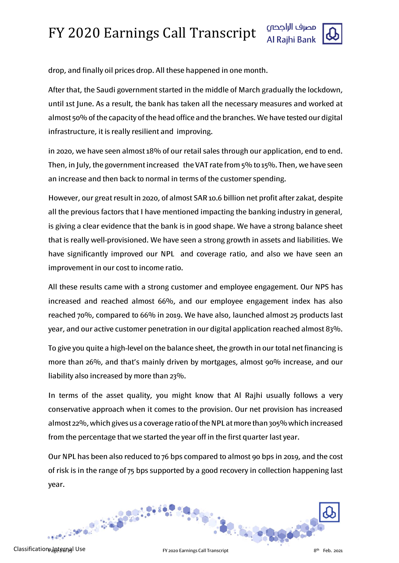

drop, and finally oil prices drop. All these happened in one month.

After that, the Saudi government started in the middle of March gradually the lockdown, until 1st June. As a result, the bank has taken all the necessary measures and worked at almost 50% of the capacity of the head office and the branches. We have tested our digital infrastructure, it is really resilient and improving.

in 2020, we have seen almost 18% of our retail sales through our application, end to end. Then, in July, the government increased the VAT rate from 5% to 15%. Then, we have seen an increase and then back to normal in terms of the customer spending.

However, our great result in 2020, of almost SAR 10.6 billion net profit after zakat, despite all the previous factors that I have mentioned impacting the banking industry in general, is giving a clear evidence that the bank is in good shape. We have a strong balance sheet that is really well-provisioned. We have seen a strong growth in assets and liabilities. We have significantly improved our NPL and coverage ratio, and also we have seen an improvement in our cost to income ratio.

All these results came with a strong customer and employee engagement. Our NPS has increased and reached almost 66%, and our employee engagement index has also reached 70%, compared to 66% in 2019. We have also, launched almost 25 products last year, and our active customer penetration in our digital application reached almost 83%.

To give you quite a high-level on the balance sheet, the growth in our total net financing is more than 26%, and that's mainly driven by mortgages, almost 90% increase, and our liability also increased by more than 23%.

In terms of the asset quality, you might know that Al Rajhi usually follows a very conservative approach when it comes to the provision. Our net provision has increased almost 22%, which gives us a coverage ratio of the NPL at more than 305%which increased from the percentage that we started the year off in the first quarter last year.

Our NPL has been also reduced to 76 bps compared to almost 90 bps in 2019, and the cost of risk is in the range of 75 bps supported by a good recovery in collection happening last year.

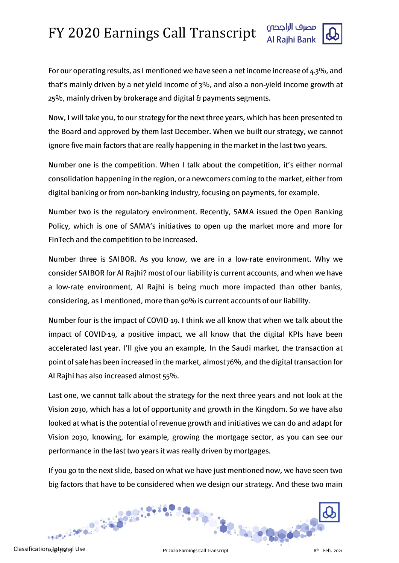

For our operating results, as I mentioned we have seen a net income increase of  $4.3\%$ , and that's mainly driven by a net yield income of 3%, and also a non-yield income growth at 25%, mainly driven by brokerage and digital & payments segments.

Now, I will take you, to our strategy for the next three years, which has been presented to the Board and approved by them last December. When we built our strategy, we cannot ignore five main factors that are really happening in the market in the last two years.

Number one is the competition. When I talk about the competition, it's either normal consolidation happening in the region, or a newcomers coming to the market, either from digital banking or from non-banking industry, focusing on payments, for example.

Number two is the regulatory environment. Recently, SAMA issued the Open Banking Policy, which is one of SAMA's initiatives to open up the market more and more for FinTech and the competition to be increased.

Number three is SAIBOR. As you know, we are in a low-rate environment. Why we consider SAIBOR for Al Rajhi? most of our liability is current accounts, and when we have a low-rate environment, Al Rajhi is being much more impacted than other banks, considering, as I mentioned, more than 90% is current accounts of our liability.

Number four is the impact of COVID-19. I think we all know that when we talk about the impact of COVID-19, a positive impact, we all know that the digital KPIs have been accelerated last year. I'll give you an example, In the Saudi market, the transaction at point of sale has been increased in the market, almost 76%, and the digital transaction for Al Rajhi has also increased almost 55%.

Last one, we cannot talk about the strategy for the next three years and not look at the Vision 2030, which has a lot of opportunity and growth in the Kingdom. So we have also looked at what is the potential of revenue growth and initiatives we can do and adapt for Vision 2030, knowing, for example, growing the mortgage sector, as you can see our performance in the last two years it was really driven by mortgages.

If you go to the next slide, based on what we have just mentioned now, we have seen two big factors that have to be considered when we design our strategy. And these two main

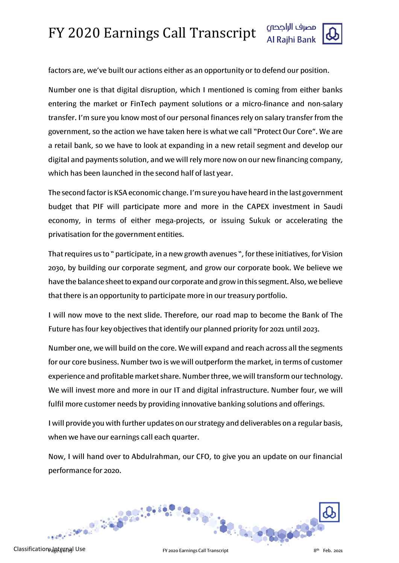

factors are, we've built our actions either as an opportunity or to defend our position.

Number one is that digital disruption, which I mentioned is coming from either banks entering the market or FinTech payment solutions or a micro-finance and non-salary transfer. I'm sure you know most of our personal finances rely on salary transfer from the government, so the action we have taken here is what we call "Protect Our Core". We are a retail bank, so we have to look at expanding in a new retail segment and develop our digital and payments solution, and we will rely more now on our new financing company, which has been launched in the second half of last year.

The second factor is KSA economic change. I'm sure you have heard in the last government budget that PIF will participate more and more in the CAPEX investment in Saudi economy, in terms of either mega-projects, or issuing Sukuk or accelerating the privatisation for the government entities.

That requires us to " participate, in a new growth avenues ", for these initiatives, for Vision 2030, by building our corporate segment, and grow our corporate book. We believe we have the balance sheet to expand our corporate and grow in this segment. Also, we believe that there is an opportunity to participate more in our treasury portfolio.

I will now move to the next slide. Therefore, our road map to become the Bank of The Future has four key objectives that identify our planned priority for 2021 until 2023.

Number one, we will build on the core. We will expand and reach across all the segments for our core business. Number two is we will outperform the market, in terms of customer experience and profitable market share. Number three, we will transform our technology. We will invest more and more in our IT and digital infrastructure. Number four, we will fulfil more customer needs by providing innovative banking solutions and offerings.

I will provide you with further updates on our strategy and deliverables on a regular basis, when we have our earnings call each quarter.

Now, I will hand over to Abdulrahman, our CFO, to give you an update on our financial performance for 2020.

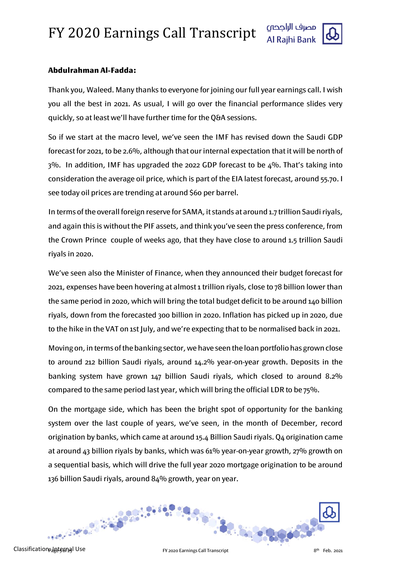

## **Abdulrahman Al-Fadda:**

Thank you, Waleed. Many thanks to everyone for joining our full year earnings call. I wish you all the best in 2021. As usual, I will go over the financial performance slides very quickly, so at least we'll have further time for the Q&A sessions.

So if we start at the macro level, we've seen the IMF has revised down the Saudi GDP forecast for 2021, to be 2.6%, although that our internal expectation that it will be north of 3%. In addition, IMF has upgraded the 2022 GDP forecast to be 4%. That's taking into consideration the average oil price, which is part of the EIA latest forecast, around 55.70. I see today oil prices are trending at around \$60 per barrel.

In terms of the overall foreign reserve for SAMA, it stands at around 1.7 trillion Saudi riyals, and again this is without the PIF assets, and think you've seen the press conference, from the Crown Prince couple of weeks ago, that they have close to around 1.5 trillion Saudi riyals in 2020.

We've seen also the Minister of Finance, when they announced their budget forecast for 2021, expenses have been hovering at almost 1 trillion riyals, close to 78 billion lower than the same period in 2020, which will bring the total budget deficit to be around 140 billion riyals, down from the forecasted 300 billion in 2020. Inflation has picked up in 2020, due to the hike in the VAT on 1st July, and we're expecting that to be normalised back in 2021.

Moving on, in terms of the banking sector, we have seen the loan portfolio has grown close to around 212 billion Saudi riyals, around 14.2% year-on-year growth. Deposits in the banking system have grown 147 billion Saudi riyals, which closed to around 8.2% compared to the same period last year, which will bring the official LDR to be 75%.

On the mortgage side, which has been the bright spot of opportunity for the banking system over the last couple of years, we've seen, in the month of December, record origination by banks, which came at around 15.4 Billion Saudi riyals. Q4 origination came at around 43 billion riyals by banks, which was 61% year-on-year growth, 27% growth on a sequential basis, which will drive the full year 2020 mortgage origination to be around 136 billion Saudi riyals, around 84% growth, year on year.

 $-30.56999000$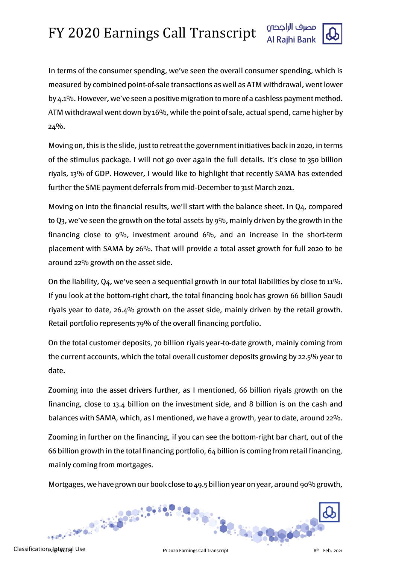

In terms of the consumer spending, we've seen the overall consumer spending, which is measured by combined point-of-sale transactions as well as ATM withdrawal, went lower by 4.1%. However, we've seen a positive migration to more of a cashless payment method. ATM withdrawal went down by 16%, while the point of sale, actual spend, came higher by 24%.

Moving on, this is the slide, just to retreat the government initiatives back in 2020, in terms of the stimulus package. I will not go over again the full details. It's close to 350 billion riyals, 13% of GDP. However, I would like to highlight that recently SAMA has extended further the SME payment deferrals from mid-December to 31st March 2021.

Moving on into the financial results, we'll start with the balance sheet. In Q4, compared to Q3, we've seen the growth on the total assets by 9%, mainly driven by the growth in the financing close to 9%, investment around 6%, and an increase in the short-term placement with SAMA by 26%. That will provide a total asset growth for full 2020 to be around 22% growth on the asset side.

On the liability, Q4, we've seen a sequential growth in our total liabilities by close to 11%. If you look at the bottom-right chart, the total financing book has grown 66 billion Saudi riyals year to date, 26.4% growth on the asset side, mainly driven by the retail growth. Retail portfolio represents 79% of the overall financing portfolio.

On the total customer deposits, 70 billion riyals year-to-date growth, mainly coming from the current accounts, which the total overall customer deposits growing by 22.5% year to date.

Zooming into the asset drivers further, as I mentioned, 66 billion riyals growth on the financing, close to 13.4 billion on the investment side, and 8 billion is on the cash and balances with SAMA, which, as I mentioned, we have a growth, year to date, around 22%.

Zooming in further on the financing, if you can see the bottom-right bar chart, out of the 66 billion growth in the total financing portfolio, 64 billion is coming from retail financing, mainly coming from mortgages.

Mortgages, we have grown our book close to 49.5 billion year on year, around 90% growth,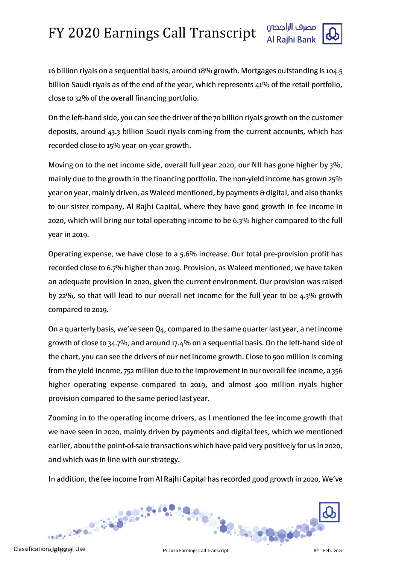

16 billion riyals on a sequential basis, around 18% growth. Mortgages outstanding is 104.5 billion Saudi rivals as of the end of the year, which represents 41% of the retail portfolio, close to 32% of the overall financing portfolio.

On the left-hand side, you can see the driver of the 70 billion riyals growth on the customer deposits, around 43.3 billion Saudi riyals coming from the current accounts, which has recorded close to 15% year-on-year growth.

Moving on to the net income side, overall full year 2020, our NII has gone higher by 3%, mainly due to the growth in the financing portfolio. The non-yield income has grown 25% year on year, mainly driven, as Waleed mentioned, by payments & digital, and also thanks to our sister company, Al Rajhi Capital, where they have good growth in fee income in 2020, which will bring our total operating income to be 6.3% higher compared to the full year in 2019.

Operating expense, we have close to a 5.6% increase. Our total pre-provision profit has recorded close to 6.7% higher than 2019. Provision, as Waleed mentioned, we have taken an adequate provision in 2020, given the current environment. Our provision was raised by 22%, so that will lead to our overall net income for the full year to be 4.3% growth compared to 2019.

On a quarterly basis, we've seen Q4, compared to the same quarter last year, a net income growth of close to 34.7%, and around 17.4% on a sequential basis. On the left-hand side of the chart, you can see the drivers of our net income growth. Close to 500 million is coming from the yield income, 752 million due to the improvement in our overall fee income, a 356 higher operating expense compared to 2019, and almost 400 million riyals higher provision compared to the same period last year.

Zooming in to the operating income drivers, as I mentioned the fee income growth that we have seen in 2020, mainly driven by payments and digital fees, which we mentioned earlier, about the point-of-sale transactions which have paid very positively for us in 2020, and which was in line with our strategy.

In addition, the fee income from Al Rajhi Capital has recorded good growth in 2020, We've



Classification ideternal Use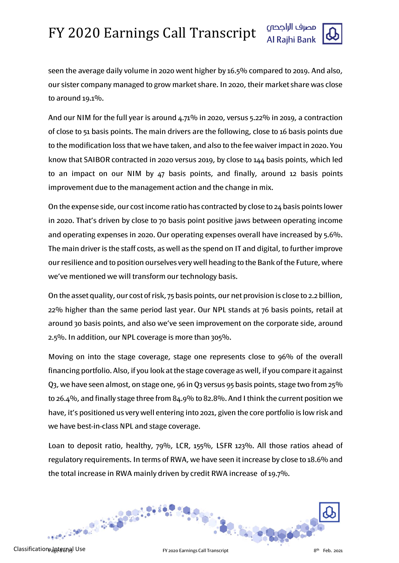

seen the average daily volume in 2020 went higher by 16.5% compared to 2019. And also, our sister company managed to grow market share. In 2020, their market share was close to around 19.1%.

And our NIM for the full year is around  $4.71\%$  in 2020, versus 5.22% in 2019, a contraction of close to 51 basis points. The main drivers are the following, close to 16 basis points due to the modification loss that we have taken, and also to the fee waiver impact in 2020. You know that SAIBOR contracted in 2020 versus 2019, by close to 144 basis points, which led to an impact on our NIM by 47 basis points, and finally, around 12 basis points improvement due to the management action and the change in mix.

On the expense side, our cost income ratio has contracted by close to 24 basis points lower in 2020. That's driven by close to 70 basis point positive jaws between operating income and operating expenses in 2020. Our operating expenses overall have increased by 5.6%. The main driver is the staff costs, as well as the spend on IT and digital, to further improve our resilience and to position ourselves very well heading to the Bank of the Future, where we've mentioned we will transform our technology basis.

On the asset quality, our cost of risk, 75 basis points, our net provision is close to 2.2 billion, 22% higher than the same period last year. Our NPL stands at 76 basis points, retail at around 30 basis points, and also we've seen improvement on the corporate side, around 2.5%. In addition, our NPL coverage is more than 305%.

Moving on into the stage coverage, stage one represents close to 96% of the overall financing portfolio. Also, if you look at the stage coverage as well, if you compare it against Q3, we have seen almost, on stage one, 96 in Q3 versus 95 basis points, stage two from 25% to 26.4%, and finally stage three from 84.9% to 82.8%. And I think the current position we have, it's positioned us very well entering into 2021, given the core portfolio is low risk and we have best-in-class NPL and stage coverage.

Loan to deposit ratio, healthy, 79%, LCR, 155%, LSFR 123%. All those ratios ahead of regulatory requirements. In terms of RWA, we have seen it increase by close to 18.6% and the total increase in RWA mainly driven by credit RWA increase of 19.7%.

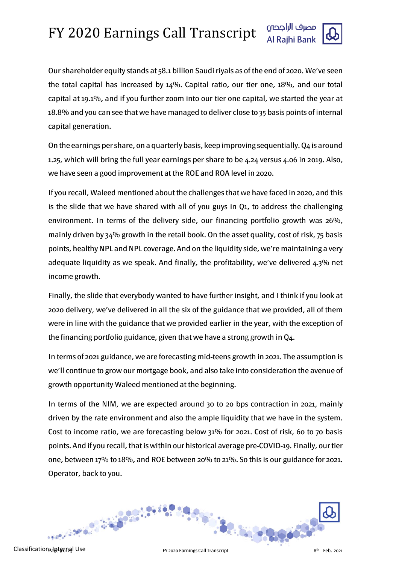

Our shareholder equity stands at 58.1 billion Saudi riyals as of the end of 2020. We've seen the total capital has increased by  $14\%$ . Capital ratio, our tier one,  $18\%$ , and our total capital at 19.1%, and if you further zoom into our tier one capital, we started the year at 18.8% and you can see that we have managed to deliver close to 35 basis points of internal capital generation.

On the earnings per share, on a quarterly basis, keep improving sequentially. Q4 is around 1.25, which will bring the full year earnings per share to be 4.24 versus 4.06 in 2019. Also, we have seen a good improvement at the ROE and ROA level in 2020.

If you recall, Waleed mentioned about the challenges that we have faced in 2020, and this is the slide that we have shared with all of you guys in Q1, to address the challenging environment. In terms of the delivery side, our financing portfolio growth was 26%, mainly driven by 34% growth in the retail book. On the asset quality, cost of risk, 75 basis points, healthy NPL and NPL coverage. And on the liquidity side, we're maintaining a very adequate liquidity as we speak. And finally, the profitability, we've delivered  $4.3\%$  net income growth.

Finally, the slide that everybody wanted to have further insight, and I think if you look at 2020 delivery, we've delivered in all the six of the guidance that we provided, all of them were in line with the guidance that we provided earlier in the year, with the exception of the financing portfolio guidance, given that we have a strong growth in Q4.

In terms of 2021 guidance, we are forecasting mid-teens growth in 2021. The assumption is we'll continue to grow our mortgage book, and also take into consideration the avenue of growth opportunity Waleed mentioned at the beginning.

In terms of the NIM, we are expected around 30 to 20 bps contraction in 2021, mainly driven by the rate environment and also the ample liquidity that we have in the system. Cost to income ratio, we are forecasting below 31% for 2021. Cost of risk, 60 to 70 basis points. And if you recall, that is within our historical average pre-COVID-19. Finally, our tier one, between 17% to 18%, and ROE between 20% to 21%. So this is our guidance for 2021. Operator, back to you.

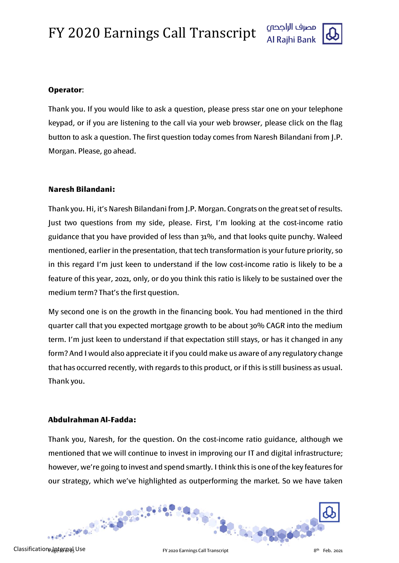

#### **Operator**:

Thank you. If you would like to ask a question, please press star one on your telephone keypad, or if you are listening to the call via your web browser, please click on the flag button to ask a question. The first question today comes from Naresh Bilandani from J.P. Morgan. Please, go ahead.

## **Naresh Bilandani:**

Thank you. Hi, it's Naresh Bilandani from J.P. Morgan. Congrats on the great set of results. Just two questions from my side, please. First, I'm looking at the cost-income ratio guidance that you have provided of less than 31%, and that looks quite punchy. Waleed mentioned, earlier in the presentation, that tech transformation is your future priority, so in this regard I'm just keen to understand if the low cost-income ratio is likely to be a feature of this year, 2021, only, or do you think this ratio is likely to be sustained over the medium term? That's the first question.

My second one is on the growth in the financing book. You had mentioned in the third quarter call that you expected mortgage growth to be about 30% CAGR into the medium term. I'm just keen to understand if that expectation still stays, or has it changed in any form? And I would also appreciate it if you could make us aware of any regulatory change that has occurred recently, with regards to this product, or if this is still business as usual. Thank you.

#### **Abdulrahman Al-Fadda:**

Thank you, Naresh, for the question. On the cost-income ratio guidance, although we mentioned that we will continue to invest in improving our IT and digital infrastructure; however, we're going to invest and spend smartly. I think this is one of the key features for our strategy, which we've highlighted as outperforming the market. So we have taken

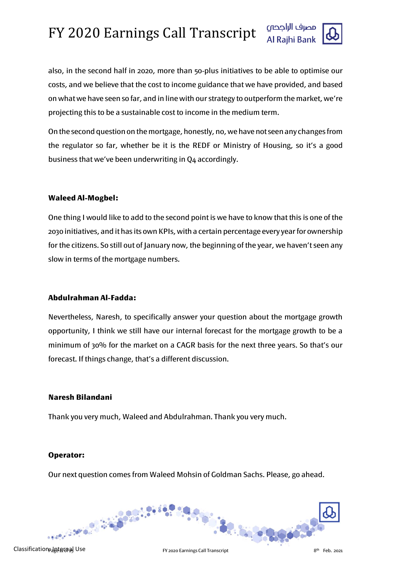

also, in the second half in 2020, more than 50-plus initiatives to be able to optimise our costs, and we believe that the cost to income guidance that we have provided, and based on what we have seen so far, and in line with our strategy to outperform the market, we're projecting this to be a sustainable cost to income in the medium term.

On the second questionon the mortgage, honestly, no, we have not seen any changes from the regulator so far, whether be it is the REDF or Ministry of Housing, so it's a good business that we've been underwriting in Q4 accordingly.

#### **Waleed Al-Mogbel:**

One thing I would like to add to the second point is we have to know that this is one of the 2030 initiatives, and it has its own KPIs, with a certain percentage every year for ownership for the citizens. So still out of January now, the beginning of the year, we haven't seen any slow in terms of the mortgage numbers.

#### **Abdulrahman Al-Fadda:**

Nevertheless, Naresh, to specifically answer your question about the mortgage growth opportunity, I think we still have our internal forecast for the mortgage growth to be a minimum of 30% for the market on a CAGR basis for the next three years. So that's our forecast. If things change, that's a different discussion.

#### **Naresh Bilandani**

Thank you very much, Waleed and Abdulrahman. Thank you very much.

## **Operator:**

Our next question comes from Waleed Mohsin of Goldman Sachs. Please, go ahead.



th Classification: Internal Use Feb. 2021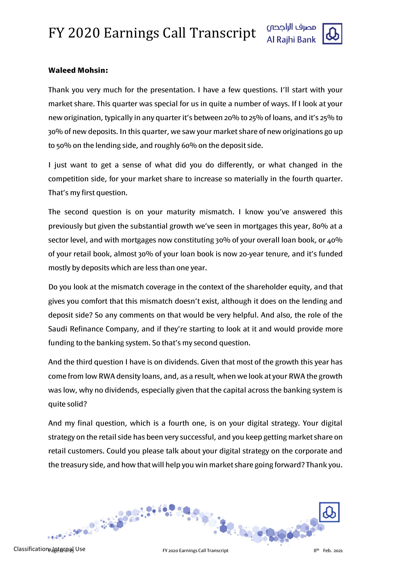

## **Waleed Mohsin:**

Thank you very much for the presentation. I have a few questions. I'll start with your market share. This quarter was special for us in quite a number of ways. If I look at your new origination, typically in any quarter it's between 20% to 25% of loans, and it's 25% to 30% of new deposits. In this quarter, we saw your market share of new originations go up to 50% on the lending side, and roughly 60% on the deposit side.

I just want to get a sense of what did you do differently, or what changed in the competition side, for your market share to increase so materially in the fourth quarter. That's my first question.

The second question is on your maturity mismatch. I know you've answered this previously but given the substantial growth we've seen in mortgages this year, 80% at a sector level, and with mortgages now constituting 30% of your overall loan book, or 40% of your retail book, almost 30% of your loan book is now 20-year tenure, and it's funded mostly by deposits which are less than one year.

Do you look at the mismatch coverage in the context of the shareholder equity, and that gives you comfort that this mismatch doesn't exist, although it does on the lending and deposit side? So any comments on that would be very helpful. And also, the role of the Saudi Refinance Company, and if they're starting to look at it and would provide more funding to the banking system. So that's my second question.

And the third question I have is on dividends. Given that most of the growth this year has come from low RWA density loans, and, as a result, when we look at your RWA the growth was low, why no dividends, especially given that the capital across the banking system is quite solid?

And my final question, which is a fourth one, is on your digital strategy. Your digital strategy on the retail side has been very successful, and you keep getting market share on retail customers. Could you please talk about your digital strategy on the corporate and the treasury side, and how that will help you win market share going forward? Thank you.

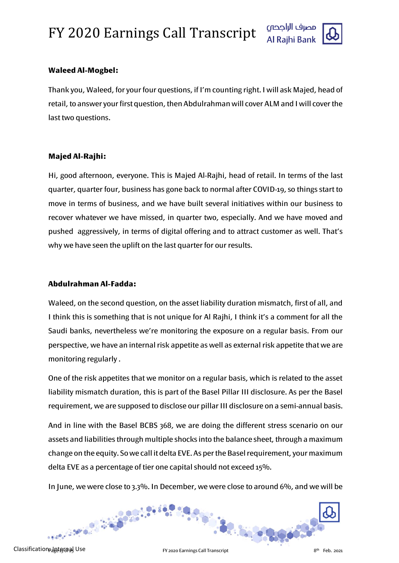



## **Waleed Al-Mogbel:**

Thank you, Waleed, for your four questions, if I'm counting right. I will ask Majed, head of retail, to answer your first question, then Abdulrahman will cover ALM and I will cover the last two questions.

## **Majed Al-Rajhi:**

Hi, good afternoon, everyone. This is Majed Al-Rajhi, head of retail. In terms of the last quarter, quarter four, business has gone back to normal after COVID-19, so things start to move in terms of business, and we have built several initiatives within our business to recover whatever we have missed, in quarter two, especially. And we have moved and pushed aggressively, in terms of digital offering and to attract customer as well. That's why we have seen the uplift on the last quarter for our results.

## **Abdulrahman Al-Fadda:**

Waleed, on the second question, on the asset liability duration mismatch, first of all, and I think this is something that is not unique for Al Rajhi, I think it's a comment for all the Saudi banks, nevertheless we're monitoring the exposure on a regular basis. From our perspective, we have an internal risk appetite as well as external risk appetite that we are monitoring regularly .

One of the risk appetites that we monitor on a regular basis, which is related to the asset liability mismatch duration, this is part of the Basel Pillar III disclosure. As per the Basel requirement, we are supposed to disclose our pillar III disclosure on a semi-annual basis.

And in line with the Basel BCBS 368, we are doing the different stress scenario on our assets and liabilities through multiple shocks into the balance sheet, through a maximum change on the equity. So we call it delta EVE. As per the Basel requirement, your maximum delta EVE as a percentage of tier one capital should not exceed 15%.

In June, we were close to 3.3%. In December, we were close to around 6%, and we will be

32.500000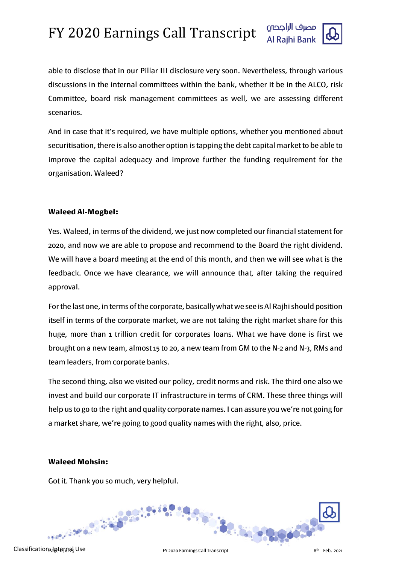

able to disclose that in our Pillar III disclosure very soon. Nevertheless, through various discussions in the internal committees within the bank, whether it be in the ALCO, risk Committee, board risk management committees as well, we are assessing different scenarios.

And in case that it's required, we have multiple options, whether you mentioned about securitisation, there is also another option is tapping the debt capital market to be able to improve the capital adequacy and improve further the funding requirement for the organisation. Waleed?

## **Waleed Al-Mogbel:**

Yes. Waleed, in terms of the dividend, we just now completed our financial statement for 2020, and now we are able to propose and recommend to the Board the right dividend. We will have a board meeting at the end of this month, and then we will see what is the feedback. Once we have clearance, we will announce that, after taking the required approval.

For the last one, in terms of the corporate, basically what we see is Al Rajhi should position itself in terms of the corporate market, we are not taking the right market share for this huge, more than 1 trillion credit for corporates loans. What we have done is first we brought on a new team, almost 15 to 20, a new team from GM to the N-2 and N-3, RMs and team leaders, from corporate banks.

The second thing, also we visited our policy, credit norms and risk. The third one also we invest and build our corporate IT infrastructure in terms of CRM. These three things will help us to go to the right and quality corporate names. I can assure you we're not going for a market share, we're going to good quality names with the right, also, price.

#### **Waleed Mohsin:**

Got it. Thank you so much, very helpful.

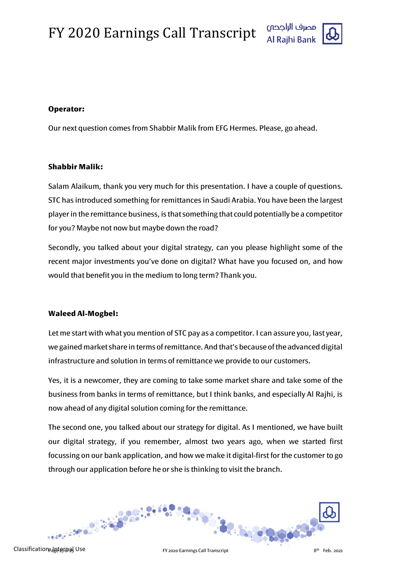

## **Operator:**

Our next question comes from Shabbir Malik from EFG Hermes. Please, go ahead.

## **Shabbir Malik:**

Salam Alaikum, thank you very much for this presentation. I have a couple of questions. STC has introduced something for remittances in Saudi Arabia. You have been the largest player in the remittance business, is that something that could potentially be a competitor for you? Maybe not now but maybe down the road?

Secondly, you talked about your digital strategy, can you please highlight some of the recent major investments you've done on digital? What have you focused on, and how would that benefit you in the medium to long term? Thank you.

## **Waleed Al-Mogbel:**

Let me start with what you mention of STC pay as a competitor. I can assure you, last year, we gained market share in terms of remittance. And that's because of the advanced digital infrastructure and solution in terms of remittance we provide to our customers.

Yes, it is a newcomer, they are coming to take some market share and take some of the business from banks in terms of remittance, but I think banks, and especially Al Rajhi, is now ahead of any digital solution coming for the remittance.

The second one, you talked about our strategy for digital. As I mentioned, we have built our digital strategy, if you remember, almost two years ago, when we started first focussing on our bank application, and how we make it digital-first for the customer to go through our application before he or she is thinking to visit the branch.

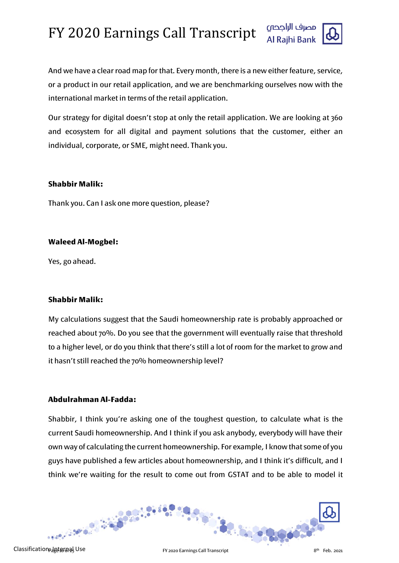

And we have a clear road map for that. Every month, there is a new either feature, service, or a product in our retail application, and we are benchmarking ourselves now with the international market in terms of the retail application.

Our strategy for digital doesn't stop at only the retail application. We are looking at 360 and ecosystem for all digital and payment solutions that the customer, either an individual, corporate, or SME, might need. Thank you.

#### **Shabbir Malik:**

Thank you. Can I ask one more question, please?

#### **Waleed Al-Mogbel:**

Yes, go ahead.

## **Shabbir Malik:**

My calculations suggest that the Saudi homeownership rate is probably approached or reached about 70%. Do you see that the government will eventually raise that threshold to a higher level, or do you think that there's still a lot of room for the market to grow and it hasn't still reached the 70% homeownership level?

## **Abdulrahman Al-Fadda:**

Shabbir, I think you're asking one of the toughest question, to calculate what is the current Saudi homeownership. And I think if you ask anybody, everybody will have their own way of calculating the current homeownership. For example, I know that some of you guys have published a few articles about homeownership, and I think it's difficult, and I think we're waiting for the result to come out from GSTAT and to be able to model it

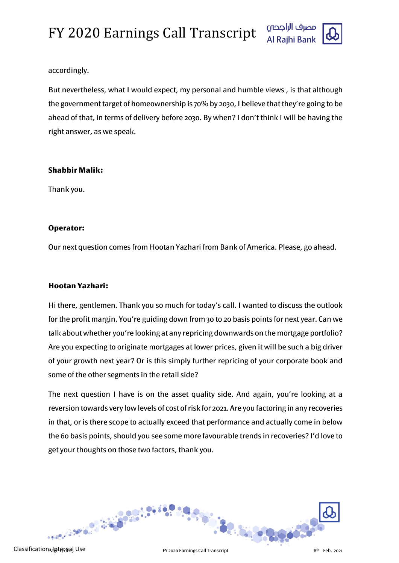

#### accordingly.

But nevertheless, what I would expect, my personal and humble views , is that although the government target of homeownership is 70% by 2030, I believe that they're going to be ahead of that, in terms of delivery before 2030. By when? I don't think I will be having the right answer, as we speak.

#### **Shabbir Malik:**

Thank you.

## **Operator:**

Our next question comes from Hootan Yazhari from Bank of America. Please, go ahead.

## **Hootan Yazhari:**

Hi there, gentlemen. Thank you so much for today's call. I wanted to discuss the outlook for the profit margin. You're guiding down from 30 to 20 basis points for next year. Can we talk about whether you're looking at any repricing downwards on the mortgage portfolio? Are you expecting to originate mortgages at lower prices, given it will be such a big driver of your growth next year? Or is this simply further repricing of your corporate book and some of the other segments in the retail side?

The next question I have is on the asset quality side. And again, you're looking at a reversion towards very low levels of cost of risk for 2021. Are you factoring in any recoveries in that, or is there scope to actually exceed that performance and actually come in below the 60 basis points, should you see some more favourable trends in recoveries? I'd love to get your thoughts on those two factors, thank you.

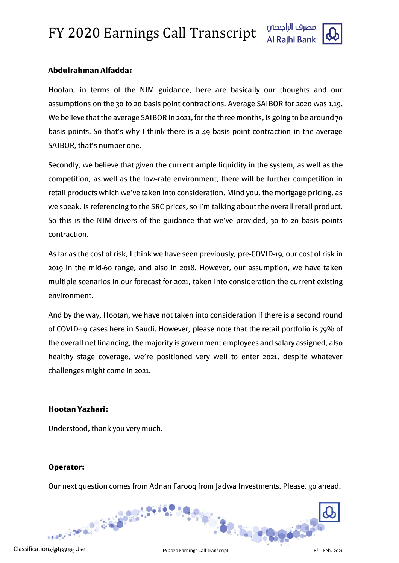

## **Abdulrahman Alfadda:**

Hootan, in terms of the NIM guidance, here are basically our thoughts and our assumptions on the 30 to 20 basis point contractions. Average SAIBOR for 2020 was 1.19. We believe that the average SAIBOR in 2021, for the three months, is going to be around 70 basis points. So that's why I think there is a 49 basis point contraction in the average SAIBOR, that's number one.

Secondly, we believe that given the current ample liquidity in the system, as well as the competition, as well as the low-rate environment, there will be further competition in retail products which we've taken into consideration. Mind you, the mortgage pricing, as we speak, is referencing to the SRC prices, so I'm talking about the overall retail product. So this is the NIM drivers of the guidance that we've provided, 30 to 20 basis points contraction.

As far as the cost of risk, I think we have seen previously, pre-COVID-19, our cost of risk in 2019 in the mid-60 range, and also in 2018. However, our assumption, we have taken multiple scenarios in our forecast for 2021, taken into consideration the current existing environment.

And by the way, Hootan, we have not taken into consideration if there is a second round of COVID-19 cases here in Saudi. However, please note that the retail portfolio is 79% of the overall net financing, the majority is government employees and salary assigned, also healthy stage coverage, we're positioned very well to enter 2021, despite whatever challenges might come in 2021.

#### **Hootan Yazhari:**

Understood, thank you very much.

#### **Operator:**

Our next question comes from Adnan Farooq from Jadwa Investments. Please, go ahead.

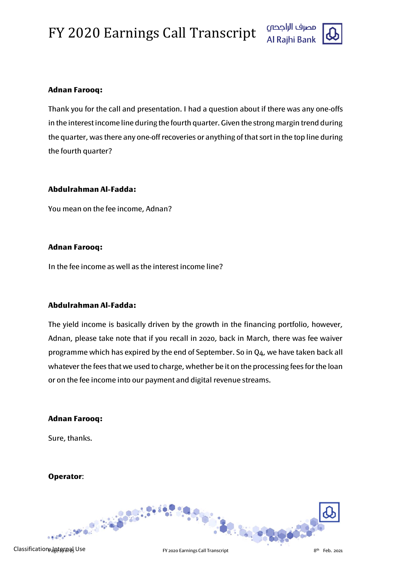

#### **Adnan Farooq:**

Thank you for the call and presentation. I had a question about if there was any one-offs in the interest income line during the fourth quarter. Given the strong margin trend during the quarter, was there any one-off recoveries or anything of that sort in the top line during the fourth quarter?

#### **Abdulrahman Al-Fadda:**

You mean on the fee income, Adnan?

#### **Adnan Farooq:**

In the fee income as well as the interest income line?

## **Abdulrahman Al-Fadda:**

The yield income is basically driven by the growth in the financing portfolio, however, Adnan, please take note that if you recall in 2020, back in March, there was fee waiver programme which has expired by the end of September. So in Q4, we have taken back all whatever the fees that we used to charge, whether be it on the processing fees for the loan or on the fee income into our payment and digital revenue streams.

#### **Adnan Farooq:**

Sure, thanks.

## **Operator**: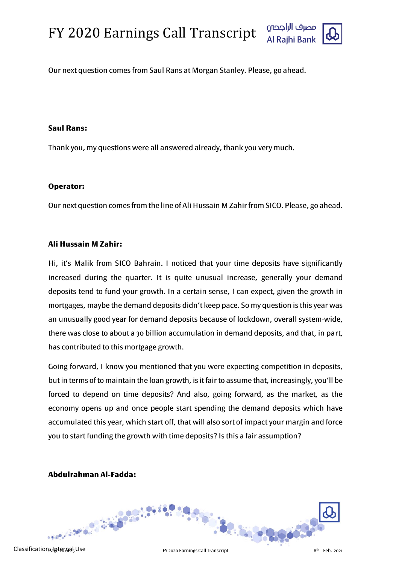



Our next question comes from Saul Rans at Morgan Stanley. Please, go ahead.

#### **Saul Rans:**

Thank you, my questions were all answered already, thank you very much.

#### **Operator:**

Our next question comes from the line of Ali Hussain M Zahir from SICO. Please, go ahead.

#### **Ali Hussain M Zahir:**

Hi, it's Malik from SICO Bahrain. I noticed that your time deposits have significantly increased during the quarter. It is quite unusual increase, generally your demand deposits tend to fund your growth. In a certain sense, I can expect, given the growth in mortgages, maybe the demand deposits didn't keep pace. So my question is this year was an unusually good year for demand deposits because of lockdown, overall system-wide, there was close to about a 30 billion accumulation in demand deposits, and that, in part, has contributed to this mortgage growth.

Going forward, I know you mentioned that you were expecting competition in deposits, but in terms of to maintain the loan growth, is it fair to assume that, increasingly, you'll be forced to depend on time deposits? And also, going forward, as the market, as the economy opens up and once people start spending the demand deposits which have accumulated this year, which start off, that will also sort of impact your margin and force you to start funding the growth with time deposits? Is this a fair assumption?

## **Abdulrahman Al-Fadda:**

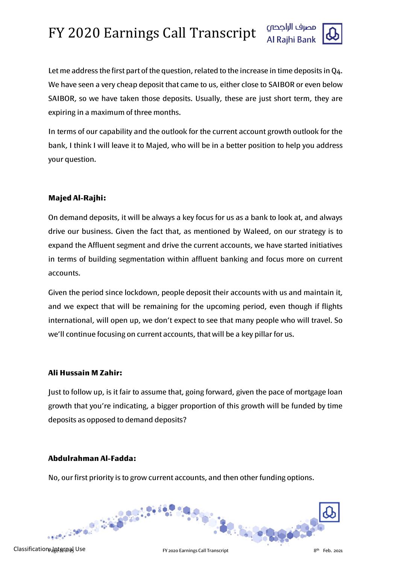

Let me address the first part of the question, related to the increase in time deposits in Q4. We have seen a very cheap deposit that came to us, either close to SAIBOR or even below SAIBOR, so we have taken those deposits. Usually, these are just short term, they are expiring in a maximum of three months.

In terms of our capability and the outlook for the current account growth outlook for the bank, I think I will leave it to Majed, who will be in a better position to help you address your question.

#### **Majed Al-Rajhi:**

On demand deposits, it will be always a key focus for us as a bank to look at, and always drive our business. Given the fact that, as mentioned by Waleed, on our strategy is to expand the Affluent segment and drive the current accounts, we have started initiatives in terms of building segmentation within affluent banking and focus more on current accounts.

Given the period since lockdown, people deposit their accounts with us and maintain it, and we expect that will be remaining for the upcoming period, even though if flights international, will open up, we don't expect to see that many people who will travel. So we'll continue focusing on current accounts, that will be a key pillar for us.

#### **Ali Hussain M Zahir:**

Just to follow up, is it fair to assume that, going forward, given the pace of mortgage loan growth that you're indicating, a bigger proportion of this growth will be funded by time deposits as opposed to demand deposits?

## **Abdulrahman Al-Fadda:**

No, our first priority is to grow current accounts, and then other funding options.

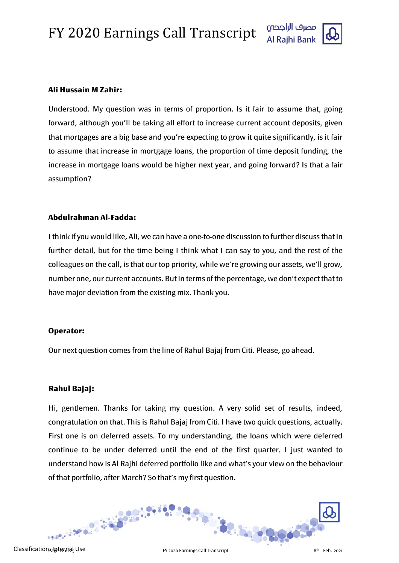

#### **Ali Hussain M Zahir:**

Understood. My question was in terms of proportion. Is it fair to assume that, going forward, although you'll be taking all effort to increase current account deposits, given that mortgages are a big base and you're expecting to grow it quite significantly, is it fair to assume that increase in mortgage loans, the proportion of time deposit funding, the increase in mortgage loans would be higher next year, and going forward? Is that a fair assumption?

#### **Abdulrahman Al-Fadda:**

I think if you would like, Ali, we can have a one-to-one discussion to further discuss that in further detail, but for the time being I think what I can say to you, and the rest of the colleagues on the call, is that our top priority, while we're growing our assets, we'll grow, number one, our current accounts. But in terms of the percentage, we don't expect that to have major deviation from the existing mix. Thank you.

#### **Operator:**

Our next question comes from the line of Rahul Bajaj from Citi. Please, go ahead.

## **Rahul Bajaj:**

Hi, gentlemen. Thanks for taking my question. A very solid set of results, indeed, congratulation on that. This is Rahul Bajaj from Citi. I have two quick questions, actually. First one is on deferred assets. To my understanding, the loans which were deferred continue to be under deferred until the end of the first quarter. I just wanted to understand how is Al Rajhi deferred portfolio like and what's your view on the behaviour of that portfolio, after March? So that's my first question.

**RACK OF BA**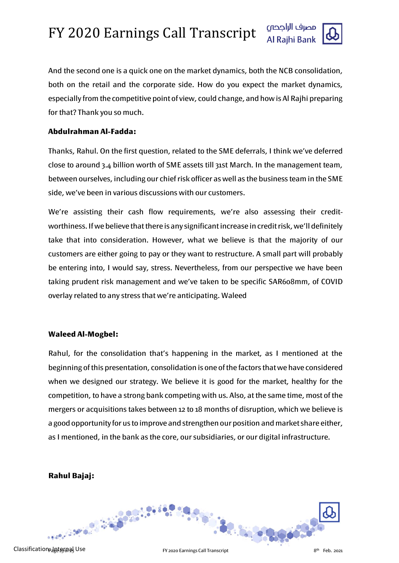

And the second one is a quick one on the market dynamics, both the NCB consolidation, both on the retail and the corporate side. How do you expect the market dynamics, especially from the competitive point of view, could change, and how is Al Rajhi preparing for that? Thank you so much.

#### **Abdulrahman Al-Fadda:**

Thanks, Rahul. On the first question, related to the SME deferrals, I think we've deferred close to around 3.4 billion worth of SME assets till 31st March. In the management team, between ourselves, including our chief risk officer as well as the business team in the SME side, we've been in various discussions with our customers.

We're assisting their cash flow requirements, we're also assessing their creditworthiness. If we believe that there is any significant increase in credit risk, we'll definitely take that into consideration. However, what we believe is that the majority of our customers are either going to pay or they want to restructure. A small part will probably be entering into, I would say, stress. Nevertheless, from our perspective we have been taking prudent risk management and we've taken to be specific SAR608mm, of COVID overlay related to any stress that we're anticipating. Waleed

#### **Waleed Al-Mogbel:**

Rahul, for the consolidation that's happening in the market, as I mentioned at the beginning of this presentation, consolidation is one of the factors that we have considered when we designed our strategy. We believe it is good for the market, healthy for the competition, to have a strong bank competing with us. Also, at the same time, most of the mergers or acquisitions takes between 12 to 18 months of disruption, which we believe is a good opportunity for us to improve and strengthen our position and market share either, as I mentioned, in the bank as the core, our subsidiaries, or our digital infrastructure.

## **Rahul Bajaj:**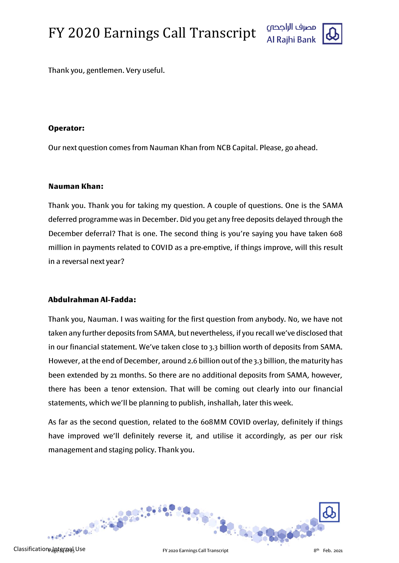

Thank you, gentlemen. Very useful.

#### **Operator:**

Our next question comes from Nauman Khan from NCB Capital. Please, go ahead.

#### **Nauman Khan:**

Thank you. Thank you for taking my question. A couple of questions. One is the SAMA deferred programme was in December. Did you get any free deposits delayed through the December deferral? That is one. The second thing is you're saying you have taken 608 million in payments related to COVID as a pre-emptive, if things improve, will this result in a reversal next year?

## **Abdulrahman Al-Fadda:**

Thank you, Nauman. I was waiting for the first question from anybody. No, we have not taken any further deposits from SAMA, but nevertheless, if you recall we've disclosed that in our financial statement. We've taken close to 3.3 billion worth of deposits from SAMA. However, at the end of December, around 2.6 billion out of the 3.3 billion, the maturity has been extended by 21 months. So there are no additional deposits from SAMA, however, there has been a tenor extension. That will be coming out clearly into our financial statements, which we'll be planning to publish, inshallah, later this week.

As far as the second question, related to the 608MM COVID overlay, definitely if things have improved we'll definitely reverse it, and utilise it accordingly, as per our risk management and staging policy. Thank you.